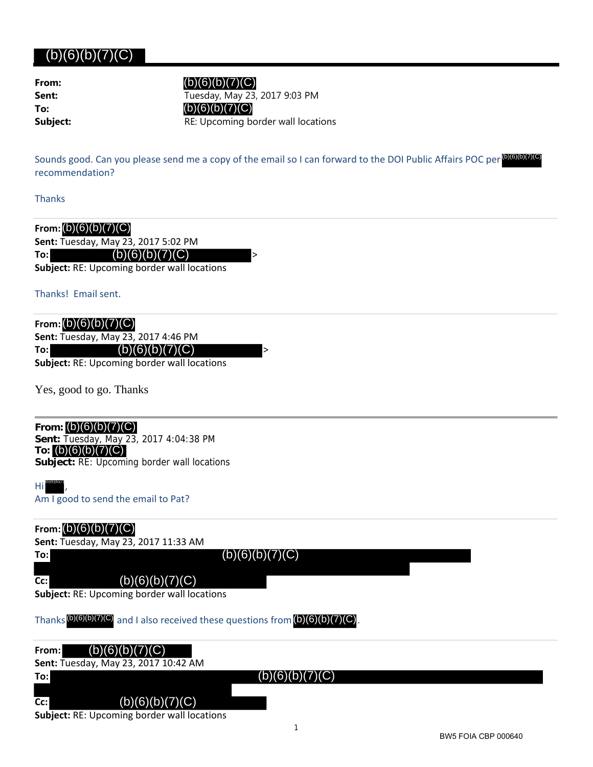| (b)(6)(b)(7)(C)                                                                                                                                                       |                                                                                                                                                                               |
|-----------------------------------------------------------------------------------------------------------------------------------------------------------------------|-------------------------------------------------------------------------------------------------------------------------------------------------------------------------------|
| From:<br>Sent:<br>To:<br>Subject:                                                                                                                                     | (b)(6)(b)(7)(C)<br>Tuesday, May 23, 2017 9:03 PM<br>(b)(6)(b)(7)(C)<br>RE: Upcoming border wall locations                                                                     |
| recommendation?                                                                                                                                                       | Sounds good. Can you please send me a copy of the email so I can forward to the DOI Public Affairs POC per <sup>(b)(6)(b)(7)(C)</sup>                                         |
| <b>Thanks</b>                                                                                                                                                         |                                                                                                                                                                               |
| From: $(b)(6)(b)(7)(C)$<br>Sent: Tuesday, May 23, 2017 5:02 PM<br>(b)(6)(b)(7)(C)<br>To:<br><b>Subject: RE: Upcoming border wall locations</b><br>Thanks! Email sent. | $\rm{>}$                                                                                                                                                                      |
| From: $(b)(6)(b)(7)(C)$<br>Sent: Tuesday, May 23, 2017 4:46 PM<br>(b)(6)(b)(7)(C)<br>To:<br>Subject: RE: Upcoming border wall locations                               | >                                                                                                                                                                             |
| Yes, good to go. Thanks                                                                                                                                               |                                                                                                                                                                               |
| From: $(b)(6)(b)(7)(C)$<br>Sent: Tuesday, May 23, 2017 4:04:38 PM<br>To: $(b)(6)(b)(7)(C)$<br>Subject: RE: Upcoming border wall locations                             |                                                                                                                                                                               |
| $Hi^{(b)(6)(b)(7)}$<br>Am I good to send the email to Pat?                                                                                                            |                                                                                                                                                                               |
| From: $(b)(6)(b)(7)(C)$<br>Sent: Tuesday, May 23, 2017 11:33 AM<br>To:<br>(b)(6)(b)(7)(C)<br>Cc:<br>Subject: RE: Upcoming border wall locations                       | (b)(6)(b)(7)(C)                                                                                                                                                               |
|                                                                                                                                                                       | Thanks $\left(\frac{b}{6}\right)\left(\frac{b}{6}\right)$ and I also received these questions from $\left(\frac{b}{6}\right)\left(\frac{b}{7}\right)\left(\frac{c}{6}\right)$ |
| (b)(6)(b)(7)(C)<br>From:<br>Sent: Tuesday, May 23, 2017 10:42 AM<br>To:<br>(b)(6)(b)(7)(C)<br>Cc:                                                                     | (b)(6)(b)(7)(C)                                                                                                                                                               |

**Subject:** RE: Upcoming border wall locations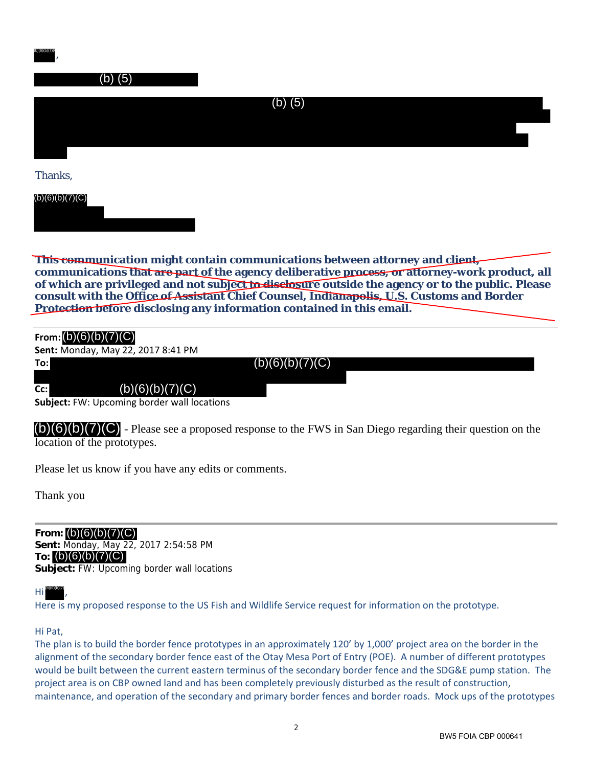| (b)(6)(b)(7)(                                                                                                                                                                                                                                                                                                                                                                                                                                             |
|-----------------------------------------------------------------------------------------------------------------------------------------------------------------------------------------------------------------------------------------------------------------------------------------------------------------------------------------------------------------------------------------------------------------------------------------------------------|
| (b) (5)                                                                                                                                                                                                                                                                                                                                                                                                                                                   |
| $(b)$ (5)                                                                                                                                                                                                                                                                                                                                                                                                                                                 |
| Thanks,                                                                                                                                                                                                                                                                                                                                                                                                                                                   |
| (b)(6)(b)(7)(C)                                                                                                                                                                                                                                                                                                                                                                                                                                           |
| This communication might contain communications between attorney and client,<br>communications that are part of the agency deliberative process, or attorney-work product, all<br>of which are privileged and not subject to disclosure outside the agency or to the public. Please<br>consult with the Office of Assistant Chief Counsel, Indianapolis, U.S. Customs and Border<br>Protection before disclosing any information contained in this email. |
| From: $(b)(6)(b)(7)(C)$<br>Sent: Monday, May 22, 2017 8:41 PM<br>(b)(6)(b)(7)(C)<br>To:<br>(b)(6)(b)(7)(C)<br>Cc:<br>Subject: FW: Upcoming border wall locations                                                                                                                                                                                                                                                                                          |
| $(b)(6)(b)(7)(C)$ - Please see a proposed response to the FWS in San Diego regarding their question on the<br>location of the prototypes.                                                                                                                                                                                                                                                                                                                 |
| Please let us know if you have any edits or comments.                                                                                                                                                                                                                                                                                                                                                                                                     |
| Thank you                                                                                                                                                                                                                                                                                                                                                                                                                                                 |
| From: $(b)(6)(b)(7)(C)$<br>Sent: Monday, May 22, 2017 2:54:58 PM<br>To: $(b)(6)(b)(7)(C)$<br>Subject: FW: Upcoming border wall locations                                                                                                                                                                                                                                                                                                                  |
| . (b)(6)(b)(7)                                                                                                                                                                                                                                                                                                                                                                                                                                            |

| From: $(b)(6)(b)(7)(C)$ |                                    |                 |  |
|-------------------------|------------------------------------|-----------------|--|
|                         | Sent: Monday, May 22, 2017 8:41 PM |                 |  |
| To:l                    |                                    | (b)(6)(b)(7)(C) |  |
| $Cc$ :                  | (b)(6)(b)(7)(C)                    |                 |  |

(b)(6)(b)(7)(

## Hi ,

Here is my proposed response to the US Fish and Wildlife Service request for information on the prototype.

### Hi Pat,

The plan is to build the border fence prototypes in an approximately 120' by 1,000' project area on the border in the alignment of the secondary border fence east of the Otay Mesa Port of Entry (POE). A number of different prototypes would be built between the current eastern terminus of the secondary border fence and the SDG&E pump station. The project area is on CBP owned land and has been completely previously disturbed as the result of construction, maintenance, and operation of the secondary and primary border fences and border roads. Mock ups of the prototypes